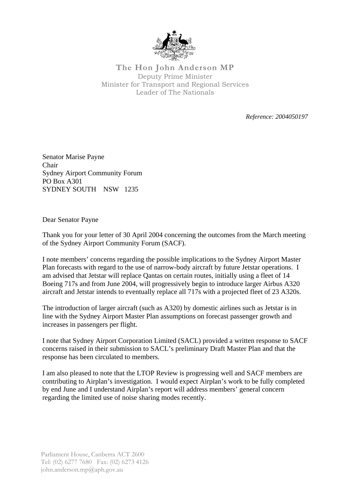

**The Hon John Anderson MP**  Deputy Prime Minister Minister for Transport and Regional Services Leader of The Nationals

*Reference: 2004050197*

Senator Marise Payne Chair Sydney Airport Community Forum PO Box A301 SYDNEY SOUTH NSW 1235

Dear Senator Payne

Thank you for your letter of 30 April 2004 concerning the outcomes from the March meeting of the Sydney Airport Community Forum (SACF).

I note members' concerns regarding the possible implications to the Sydney Airport Master Plan forecasts with regard to the use of narrow-body aircraft by future Jetstar operations. I am advised that Jetstar will replace Qantas on certain routes, initially using a fleet of 14 Boeing 717s and from June 2004, will progressively begin to introduce larger Airbus A320 aircraft and Jetstar intends to eventually replace all 717s with a projected fleet of 23 A320s.

The introduction of larger aircraft (such as A320) by domestic airlines such as Jetstar is in line with the Sydney Airport Master Plan assumptions on forecast passenger growth and increases in passengers per flight.

I note that Sydney Airport Corporation Limited (SACL) provided a written response to SACF concerns raised in their submission to SACL's preliminary Draft Master Plan and that the response has been circulated to members.

I am also pleased to note that the LTOP Review is progressing well and SACF members are contributing to Airplan's investigation. I would expect Airplan's work to be fully completed by end June and I understand Airplan's report will address members' general concern regarding the limited use of noise sharing modes recently.